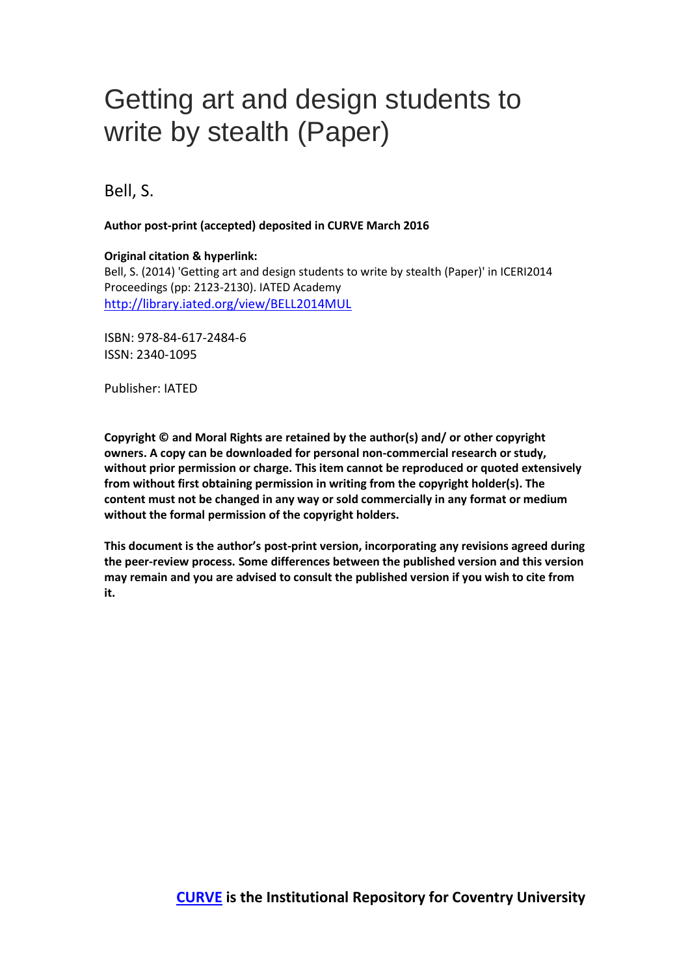# Getting art and design students to write by stealth (Paper)

Bell, S.

**Author post-print (accepted) deposited in CURVE March 2016**

## **Original citation & hyperlink:**

Bell, S. (2014) 'Getting art and design students to write by stealth (Paper)' in ICERI2014 Proceedings (pp: 2123-2130). IATED Academy <http://library.iated.org/view/BELL2014MUL>

ISBN: 978-84-617-2484-6 ISSN: 2340-1095

Publisher: IATED

**Copyright © and Moral Rights are retained by the author(s) and/ or other copyright owners. A copy can be downloaded for personal non-commercial research or study, without prior permission or charge. This item cannot be reproduced or quoted extensively from without first obtaining permission in writing from the copyright holder(s). The content must not be changed in any way or sold commercially in any format or medium without the formal permission of the copyright holders.** 

**This document is the author's post-print version, incorporating any revisions agreed during the peer-review process. Some differences between the published version and this version may remain and you are advised to consult the published version if you wish to cite from it.**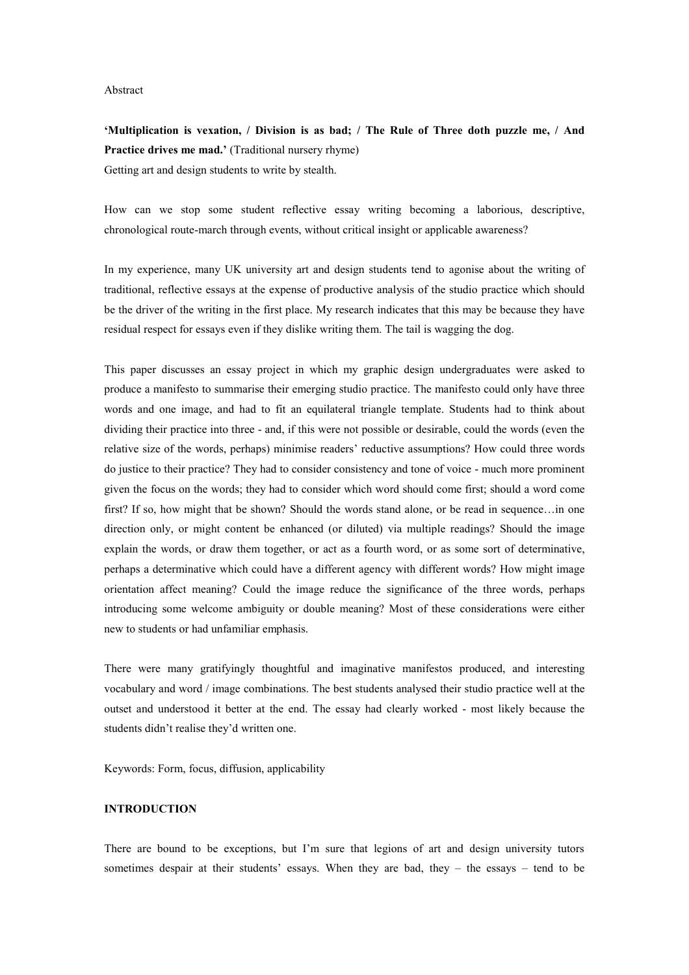#### Abstract

**'Multiplication is vexation, / Division is as bad; / The Rule of Three doth puzzle me, / And Practice drives me mad.'** (Traditional nursery rhyme) Getting art and design students to write by stealth.

How can we stop some student reflective essay writing becoming a laborious, descriptive, chronological route-march through events, without critical insight or applicable awareness?

In my experience, many UK university art and design students tend to agonise about the writing of traditional, reflective essays at the expense of productive analysis of the studio practice which should be the driver of the writing in the first place. My research indicates that this may be because they have residual respect for essays even if they dislike writing them. The tail is wagging the dog.

This paper discusses an essay project in which my graphic design undergraduates were asked to produce a manifesto to summarise their emerging studio practice. The manifesto could only have three words and one image, and had to fit an equilateral triangle template. Students had to think about dividing their practice into three - and, if this were not possible or desirable, could the words (even the relative size of the words, perhaps) minimise readers' reductive assumptions? How could three words do justice to their practice? They had to consider consistency and tone of voice - much more prominent given the focus on the words; they had to consider which word should come first; should a word come first? If so, how might that be shown? Should the words stand alone, or be read in sequence…in one direction only, or might content be enhanced (or diluted) via multiple readings? Should the image explain the words, or draw them together, or act as a fourth word, or as some sort of determinative, perhaps a determinative which could have a different agency with different words? How might image orientation affect meaning? Could the image reduce the significance of the three words, perhaps introducing some welcome ambiguity or double meaning? Most of these considerations were either new to students or had unfamiliar emphasis.

There were many gratifyingly thoughtful and imaginative manifestos produced, and interesting vocabulary and word / image combinations. The best students analysed their studio practice well at the outset and understood it better at the end. The essay had clearly worked - most likely because the students didn't realise they'd written one.

Keywords: Form, focus, diffusion, applicability

## **INTRODUCTION**

There are bound to be exceptions, but I'm sure that legions of art and design university tutors sometimes despair at their students' essays. When they are bad, they – the essays – tend to be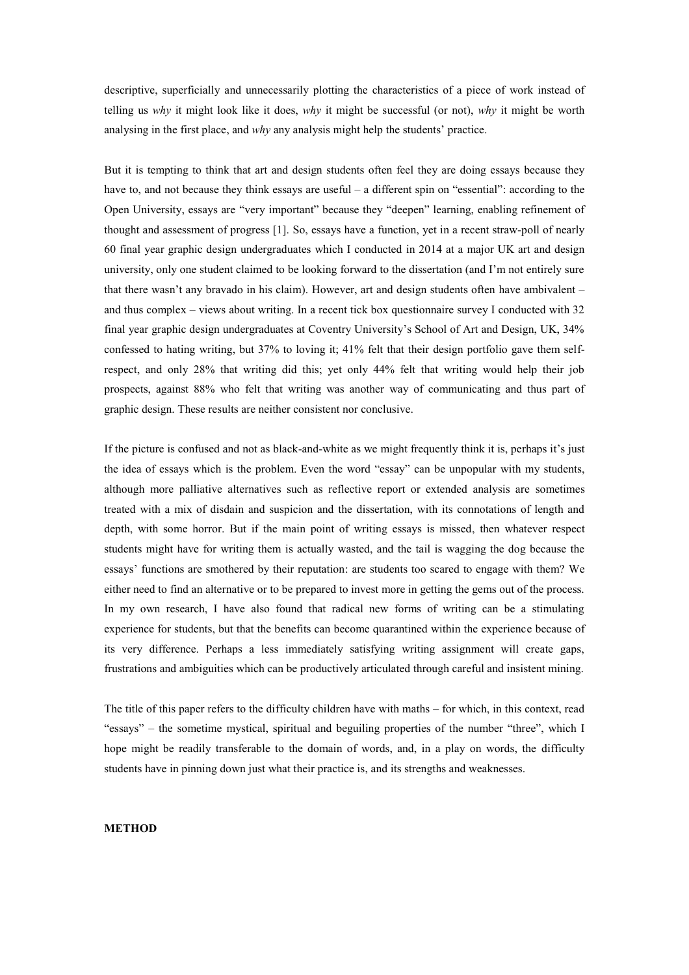descriptive, superficially and unnecessarily plotting the characteristics of a piece of work instead of telling us *why* it might look like it does, *why* it might be successful (or not), *why* it might be worth analysing in the first place, and *why* any analysis might help the students' practice.

But it is tempting to think that art and design students often feel they are doing essays because they have to, and not because they think essays are useful – a different spin on "essential": according to the Open University, essays are "very important" because they "deepen" learning, enabling refinement of thought and assessment of progress [1]. So, essays have a function, yet in a recent straw-poll of nearly 60 final year graphic design undergraduates which I conducted in 2014 at a major UK art and design university, only one student claimed to be looking forward to the dissertation (and I'm not entirely sure that there wasn't any bravado in his claim). However, art and design students often have ambivalent – and thus complex – views about writing. In a recent tick box questionnaire survey I conducted with 32 final year graphic design undergraduates at Coventry University's School of Art and Design, UK, 34% confessed to hating writing, but 37% to loving it; 41% felt that their design portfolio gave them selfrespect, and only 28% that writing did this; yet only 44% felt that writing would help their job prospects, against 88% who felt that writing was another way of communicating and thus part of graphic design. These results are neither consistent nor conclusive.

If the picture is confused and not as black-and-white as we might frequently think it is, perhaps it's just the idea of essays which is the problem. Even the word "essay" can be unpopular with my students, although more palliative alternatives such as reflective report or extended analysis are sometimes treated with a mix of disdain and suspicion and the dissertation, with its connotations of length and depth, with some horror. But if the main point of writing essays is missed, then whatever respect students might have for writing them is actually wasted, and the tail is wagging the dog because the essays' functions are smothered by their reputation: are students too scared to engage with them? We either need to find an alternative or to be prepared to invest more in getting the gems out of the process. In my own research, I have also found that radical new forms of writing can be a stimulating experience for students, but that the benefits can become quarantined within the experience because of its very difference. Perhaps a less immediately satisfying writing assignment will create gaps, frustrations and ambiguities which can be productively articulated through careful and insistent mining.

The title of this paper refers to the difficulty children have with maths – for which, in this context, read "essays" – the sometime mystical, spiritual and beguiling properties of the number "three", which I hope might be readily transferable to the domain of words, and, in a play on words, the difficulty students have in pinning down just what their practice is, and its strengths and weaknesses.

#### **METHOD**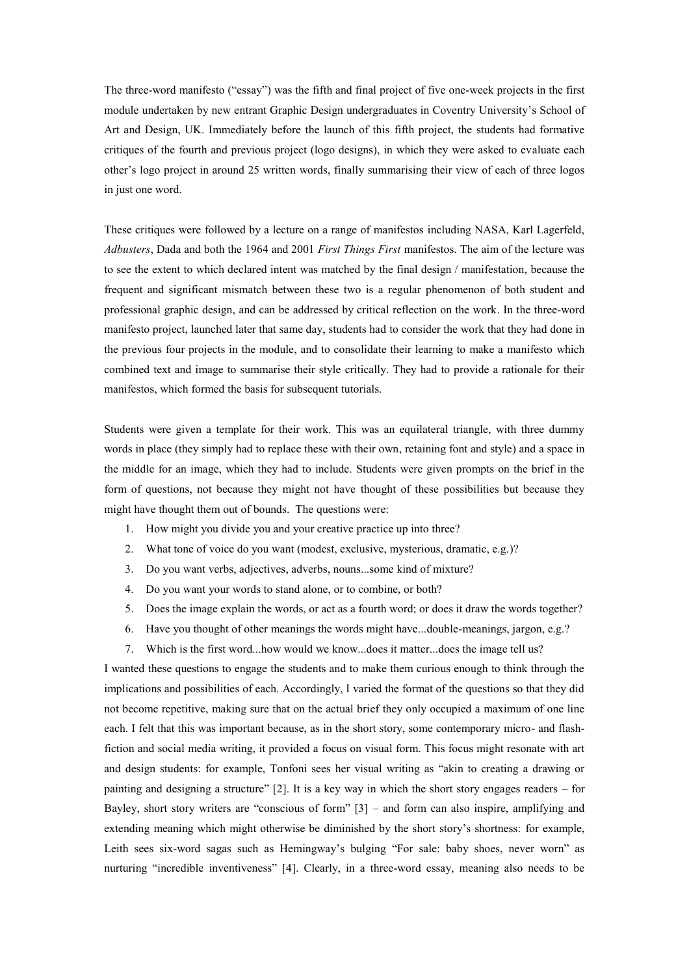The three-word manifesto ("essay") was the fifth and final project of five one-week projects in the first module undertaken by new entrant Graphic Design undergraduates in Coventry University's School of Art and Design, UK. Immediately before the launch of this fifth project, the students had formative critiques of the fourth and previous project (logo designs), in which they were asked to evaluate each other's logo project in around 25 written words, finally summarising their view of each of three logos in just one word.

These critiques were followed by a lecture on a range of manifestos including NASA, Karl Lagerfeld, *Adbusters*, Dada and both the 1964 and 2001 *First Things First* manifestos. The aim of the lecture was to see the extent to which declared intent was matched by the final design / manifestation, because the frequent and significant mismatch between these two is a regular phenomenon of both student and professional graphic design, and can be addressed by critical reflection on the work. In the three-word manifesto project, launched later that same day, students had to consider the work that they had done in the previous four projects in the module, and to consolidate their learning to make a manifesto which combined text and image to summarise their style critically. They had to provide a rationale for their manifestos, which formed the basis for subsequent tutorials.

Students were given a template for their work. This was an equilateral triangle, with three dummy words in place (they simply had to replace these with their own, retaining font and style) and a space in the middle for an image, which they had to include. Students were given prompts on the brief in the form of questions, not because they might not have thought of these possibilities but because they might have thought them out of bounds. The questions were:

- 1. How might you divide you and your creative practice up into three?
- 2. What tone of voice do you want (modest, exclusive, mysterious, dramatic, e.g.)?
- 3. Do you want verbs, adjectives, adverbs, nouns...some kind of mixture?
- 4. Do you want your words to stand alone, or to combine, or both?
- 5. Does the image explain the words, or act as a fourth word; or does it draw the words together?
- 6. Have you thought of other meanings the words might have...double-meanings, jargon, e.g.?
- 7. Which is the first word...how would we know...does it matter...does the image tell us?

I wanted these questions to engage the students and to make them curious enough to think through the implications and possibilities of each. Accordingly, I varied the format of the questions so that they did not become repetitive, making sure that on the actual brief they only occupied a maximum of one line each. I felt that this was important because, as in the short story, some contemporary micro- and flashfiction and social media writing, it provided a focus on visual form. This focus might resonate with art and design students: for example, Tonfoni sees her visual writing as "akin to creating a drawing or painting and designing a structure" [2]. It is a key way in which the short story engages readers – for Bayley, short story writers are "conscious of form" [3] – and form can also inspire, amplifying and extending meaning which might otherwise be diminished by the short story's shortness: for example, Leith sees six-word sagas such as Hemingway's bulging "For sale: baby shoes, never worn" as nurturing "incredible inventiveness" [4]. Clearly, in a three-word essay, meaning also needs to be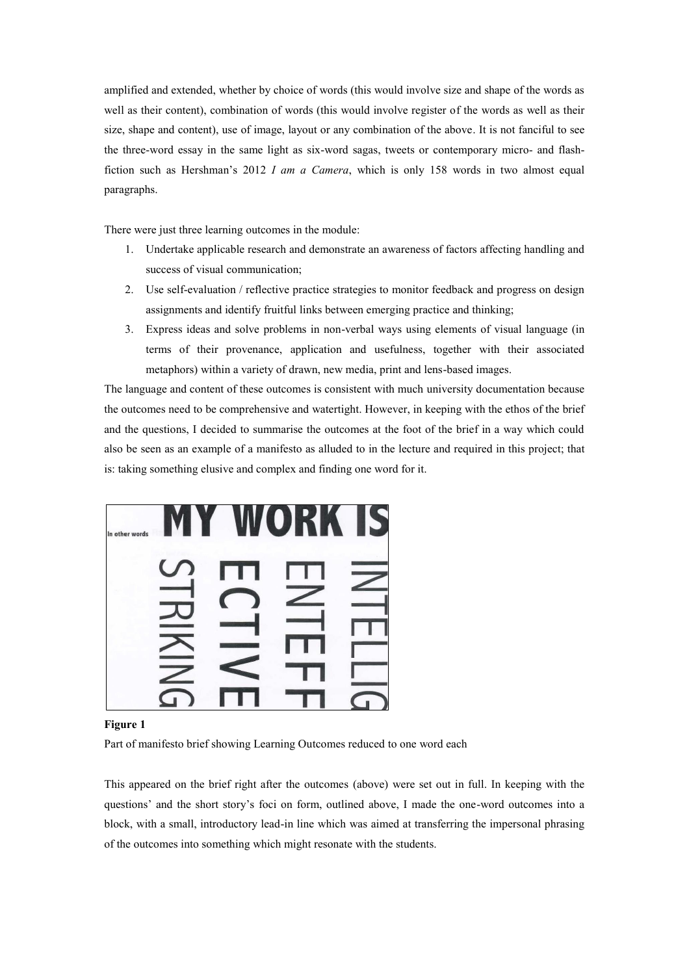amplified and extended, whether by choice of words (this would involve size and shape of the words as well as their content), combination of words (this would involve register of the words as well as their size, shape and content), use of image, layout or any combination of the above. It is not fanciful to see the three-word essay in the same light as six-word sagas, tweets or contemporary micro- and flashfiction such as Hershman's 2012 *I am a Camera*, which is only 158 words in two almost equal paragraphs.

There were just three learning outcomes in the module:

- 1. Undertake applicable research and demonstrate an awareness of factors affecting handling and success of visual communication;
- 2. Use self-evaluation / reflective practice strategies to monitor feedback and progress on design assignments and identify fruitful links between emerging practice and thinking;
- 3. Express ideas and solve problems in non-verbal ways using elements of visual language (in terms of their provenance, application and usefulness, together with their associated metaphors) within a variety of drawn, new media, print and lens-based images.

The language and content of these outcomes is consistent with much university documentation because the outcomes need to be comprehensive and watertight. However, in keeping with the ethos of the brief and the questions, I decided to summarise the outcomes at the foot of the brief in a way which could also be seen as an example of a manifesto as alluded to in the lecture and required in this project; that is: taking something elusive and complex and finding one word for it.



#### **Figure 1**

Part of manifesto brief showing Learning Outcomes reduced to one word each

This appeared on the brief right after the outcomes (above) were set out in full. In keeping with the questions' and the short story's foci on form, outlined above, I made the one-word outcomes into a block, with a small, introductory lead-in line which was aimed at transferring the impersonal phrasing of the outcomes into something which might resonate with the students.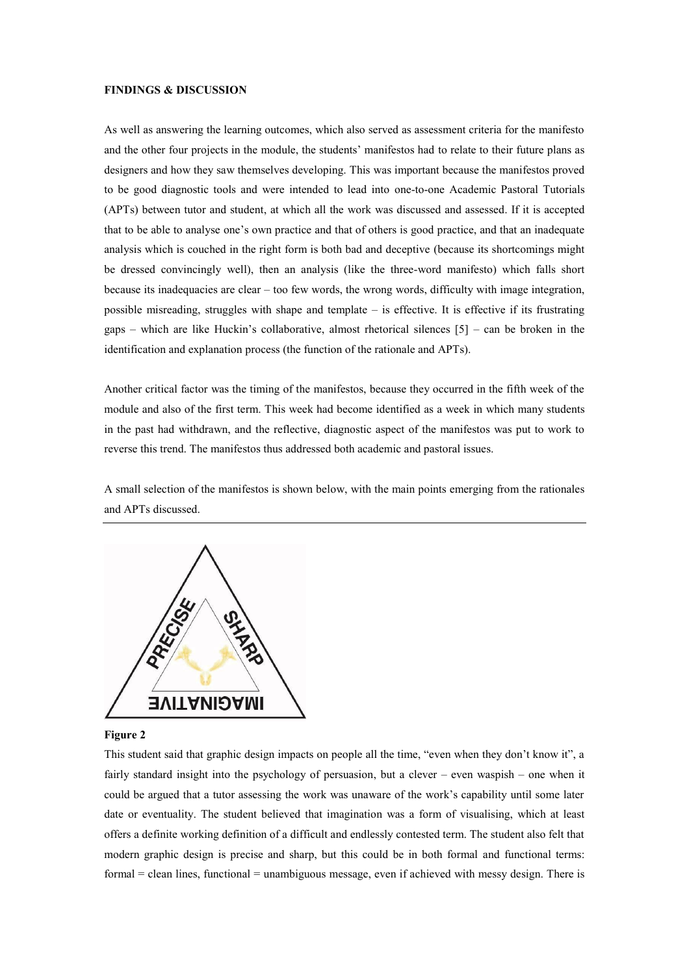#### **FINDINGS & DISCUSSION**

As well as answering the learning outcomes, which also served as assessment criteria for the manifesto and the other four projects in the module, the students' manifestos had to relate to their future plans as designers and how they saw themselves developing. This was important because the manifestos proved to be good diagnostic tools and were intended to lead into one-to-one Academic Pastoral Tutorials (APTs) between tutor and student, at which all the work was discussed and assessed. If it is accepted that to be able to analyse one's own practice and that of others is good practice, and that an inadequate analysis which is couched in the right form is both bad and deceptive (because its shortcomings might be dressed convincingly well), then an analysis (like the three-word manifesto) which falls short because its inadequacies are clear – too few words, the wrong words, difficulty with image integration, possible misreading, struggles with shape and template – is effective. It is effective if its frustrating gaps – which are like Huckin's collaborative, almost rhetorical silences [5] – can be broken in the identification and explanation process (the function of the rationale and APTs).

Another critical factor was the timing of the manifestos, because they occurred in the fifth week of the module and also of the first term. This week had become identified as a week in which many students in the past had withdrawn, and the reflective, diagnostic aspect of the manifestos was put to work to reverse this trend. The manifestos thus addressed both academic and pastoral issues.

A small selection of the manifestos is shown below, with the main points emerging from the rationales and APTs discussed.



### **Figure 2**

This student said that graphic design impacts on people all the time, "even when they don't know it", a fairly standard insight into the psychology of persuasion, but a clever – even waspish – one when it could be argued that a tutor assessing the work was unaware of the work's capability until some later date or eventuality. The student believed that imagination was a form of visualising, which at least offers a definite working definition of a difficult and endlessly contested term. The student also felt that modern graphic design is precise and sharp, but this could be in both formal and functional terms: formal = clean lines, functional = unambiguous message, even if achieved with messy design. There is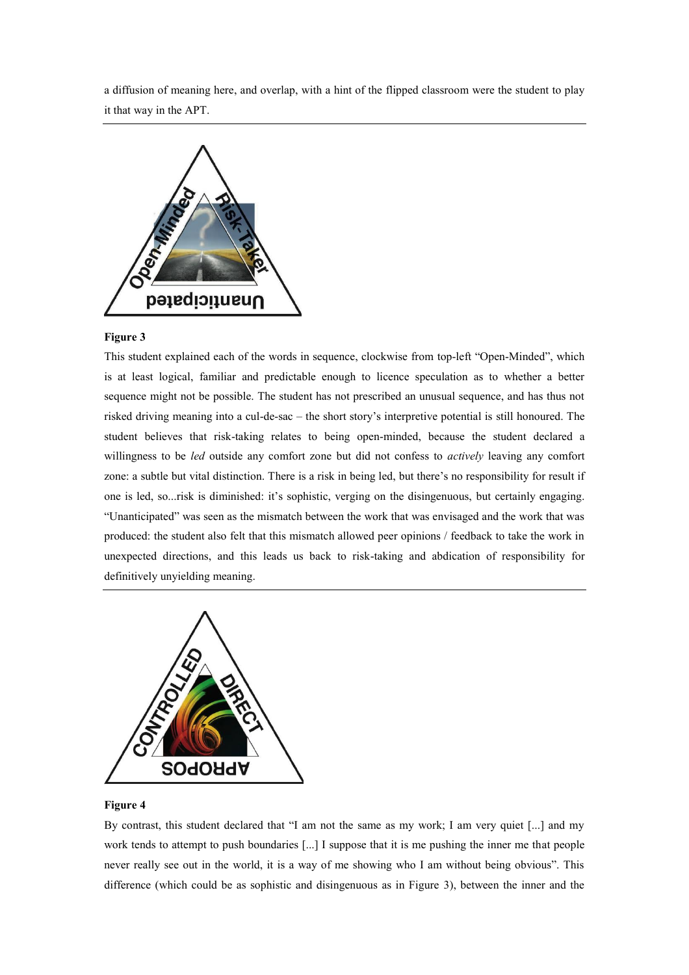a diffusion of meaning here, and overlap, with a hint of the flipped classroom were the student to play it that way in the APT.



## **Figure 3**

This student explained each of the words in sequence, clockwise from top-left "Open-Minded", which is at least logical, familiar and predictable enough to licence speculation as to whether a better sequence might not be possible. The student has not prescribed an unusual sequence, and has thus not risked driving meaning into a cul-de-sac – the short story's interpretive potential is still honoured. The student believes that risk-taking relates to being open-minded, because the student declared a willingness to be *led* outside any comfort zone but did not confess to *actively* leaving any comfort zone: a subtle but vital distinction. There is a risk in being led, but there's no responsibility for result if one is led, so...risk is diminished: it's sophistic, verging on the disingenuous, but certainly engaging. "Unanticipated" was seen as the mismatch between the work that was envisaged and the work that was produced: the student also felt that this mismatch allowed peer opinions / feedback to take the work in unexpected directions, and this leads us back to risk-taking and abdication of responsibility for definitively unyielding meaning.



## **Figure 4**

By contrast, this student declared that "I am not the same as my work; I am very quiet [...] and my work tends to attempt to push boundaries [...] I suppose that it is me pushing the inner me that people never really see out in the world, it is a way of me showing who I am without being obvious". This difference (which could be as sophistic and disingenuous as in Figure 3), between the inner and the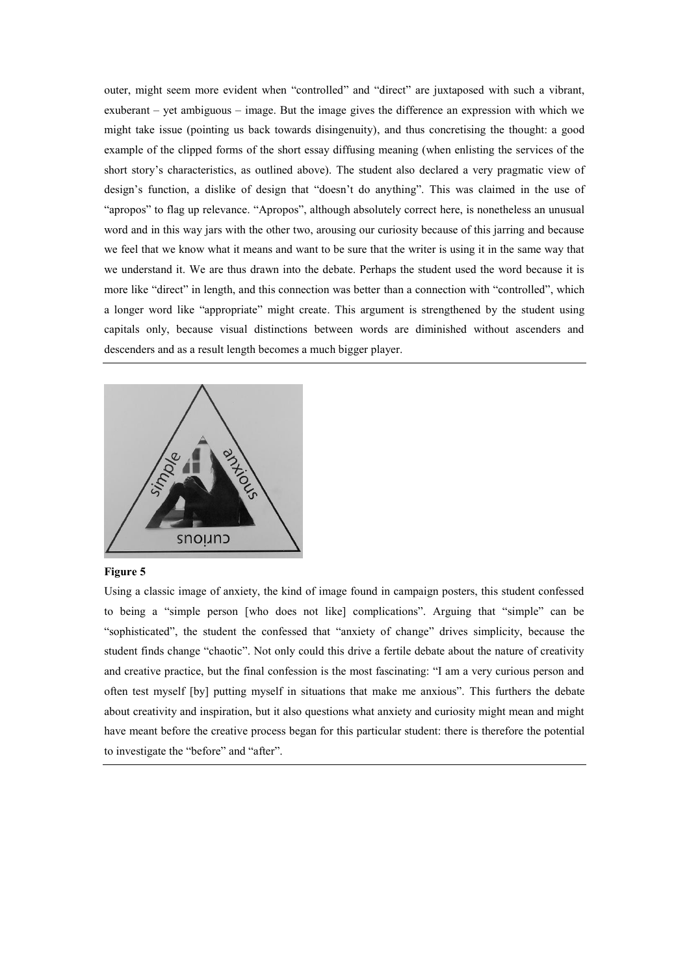outer, might seem more evident when "controlled" and "direct" are juxtaposed with such a vibrant, exuberant – yet ambiguous – image. But the image gives the difference an expression with which we might take issue (pointing us back towards disingenuity), and thus concretising the thought: a good example of the clipped forms of the short essay diffusing meaning (when enlisting the services of the short story's characteristics, as outlined above). The student also declared a very pragmatic view of design's function, a dislike of design that "doesn't do anything". This was claimed in the use of "apropos" to flag up relevance. "Apropos", although absolutely correct here, is nonetheless an unusual word and in this way jars with the other two, arousing our curiosity because of this jarring and because we feel that we know what it means and want to be sure that the writer is using it in the same way that we understand it. We are thus drawn into the debate. Perhaps the student used the word because it is more like "direct" in length, and this connection was better than a connection with "controlled", which a longer word like "appropriate" might create. This argument is strengthened by the student using capitals only, because visual distinctions between words are diminished without ascenders and descenders and as a result length becomes a much bigger player.



#### **Figure 5**

Using a classic image of anxiety, the kind of image found in campaign posters, this student confessed to being a "simple person [who does not like] complications". Arguing that "simple" can be "sophisticated", the student the confessed that "anxiety of change" drives simplicity, because the student finds change "chaotic". Not only could this drive a fertile debate about the nature of creativity and creative practice, but the final confession is the most fascinating: "I am a very curious person and often test myself [by] putting myself in situations that make me anxious". This furthers the debate about creativity and inspiration, but it also questions what anxiety and curiosity might mean and might have meant before the creative process began for this particular student: there is therefore the potential to investigate the "before" and "after".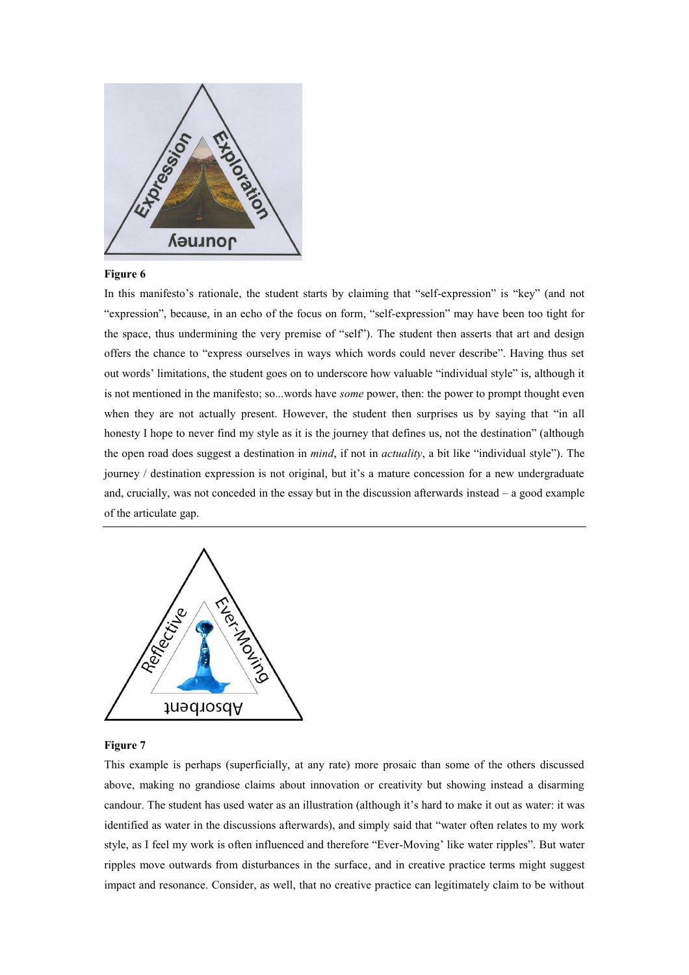

# **Figure 6**

In this manifesto's rationale, the student starts by claiming that "self-expression" is "key" (and not "expression", because, in an echo of the focus on form, "self-expression" may have been too tight for the space, thus undermining the very premise of "self"). The student then asserts that art and design offers the chance to "express ourselves in ways which words could never describe". Having thus set out words' limitations, the student goes on to underscore how valuable "individual style" is, although it is not mentioned in the manifesto; so...words have *some* power, then: the power to prompt thought even when they are not actually present. However, the student then surprises us by saying that "in all honesty I hope to never find my style as it is the journey that defines us, not the destination" (although the open road does suggest a destination in *mind*, if not in *actuality*, a bit like "individual style"). The journey / destination expression is not original, but it's a mature concession for a new undergraduate and, crucially, was not conceded in the essay but in the discussion afterwards instead – a good example of the articulate gap.



## **Figure 7**

This example is perhaps (superficially, at any rate) more prosaic than some of the others discussed above, making no grandiose claims about innovation or creativity but showing instead a disarming candour. The student has used water as an illustration (although it's hard to make it out as water: it was identified as water in the discussions afterwards), and simply said that "water often relates to my work style, as I feel my work is often influenced and therefore "Ever-Moving' like water ripples". But water ripples move outwards from disturbances in the surface, and in creative practice terms might suggest impact and resonance. Consider, as well, that no creative practice can legitimately claim to be without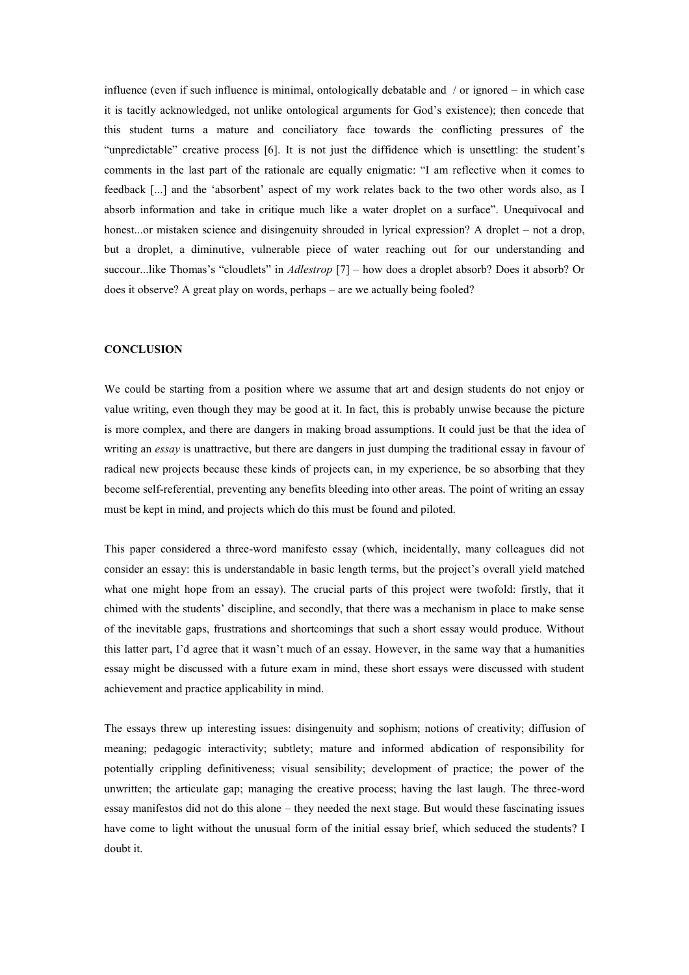influence (even if such influence is minimal, ontologically debatable and / or ignored – in which case it is tacitly acknowledged, not unlike ontological arguments for God's existence); then concede that this student turns a mature and conciliatory face towards the conflicting pressures of the "unpredictable" creative process [6]. It is not just the diffidence which is unsettling: the student's comments in the last part of the rationale are equally enigmatic: "I am reflective when it comes to feedback [...] and the 'absorbent' aspect of my work relates back to the two other words also, as I absorb information and take in critique much like a water droplet on a surface". Unequivocal and honest...or mistaken science and disingenuity shrouded in lyrical expression? A droplet – not a drop, but a droplet, a diminutive, vulnerable piece of water reaching out for our understanding and succour...like Thomas's "cloudlets" in *Adlestrop* [7] – how does a droplet absorb? Does it absorb? Or does it observe? A great play on words, perhaps – are we actually being fooled?

## **CONCLUSION**

We could be starting from a position where we assume that art and design students do not enjoy or value writing, even though they may be good at it. In fact, this is probably unwise because the picture is more complex, and there are dangers in making broad assumptions. It could just be that the idea of writing an *essay* is unattractive, but there are dangers in just dumping the traditional essay in favour of radical new projects because these kinds of projects can, in my experience, be so absorbing that they become self-referential, preventing any benefits bleeding into other areas. The point of writing an essay must be kept in mind, and projects which do this must be found and piloted.

This paper considered a three-word manifesto essay (which, incidentally, many colleagues did not consider an essay: this is understandable in basic length terms, but the project's overall yield matched what one might hope from an essay). The crucial parts of this project were twofold: firstly, that it chimed with the students' discipline, and secondly, that there was a mechanism in place to make sense of the inevitable gaps, frustrations and shortcomings that such a short essay would produce. Without this latter part, I'd agree that it wasn't much of an essay. However, in the same way that a humanities essay might be discussed with a future exam in mind, these short essays were discussed with student achievement and practice applicability in mind.

The essays threw up interesting issues: disingenuity and sophism; notions of creativity; diffusion of meaning; pedagogic interactivity; subtlety; mature and informed abdication of responsibility for potentially crippling definitiveness; visual sensibility; development of practice; the power of the unwritten; the articulate gap; managing the creative process; having the last laugh. The three-word essay manifestos did not do this alone – they needed the next stage. But would these fascinating issues have come to light without the unusual form of the initial essay brief, which seduced the students? I doubt it.